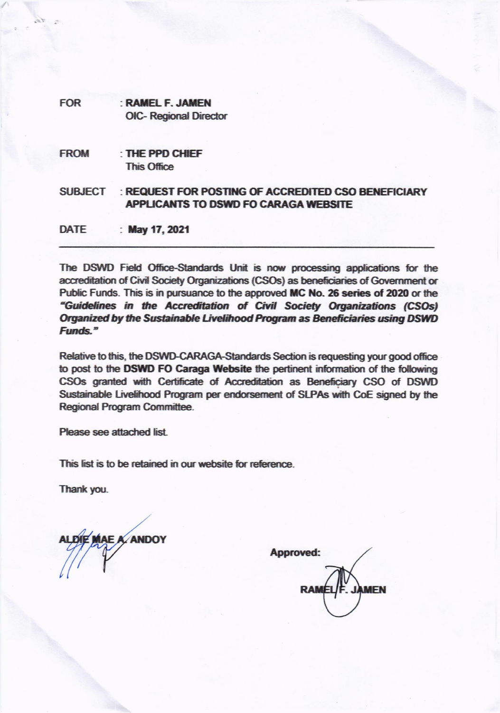| <b>FOR</b>     | : RAMEL F. JAMEN<br><b>OIC- Regional Director</b>                                                  |
|----------------|----------------------------------------------------------------------------------------------------|
| <b>FROM</b>    | : THE PPD CHIEF<br><b>This Office</b>                                                              |
| <b>SUBJECT</b> | : REQUEST FOR POSTING OF ACCREDITED CSO BENEFICIARY<br><b>APPLICANTS TO DSWD FO CARAGA WEBSITE</b> |
| <b>DATE</b>    | : May 17, 2021                                                                                     |

The DSWD Field Office-Standards Unit is now processing applications for the accreditation of Civil Society Organizations (CSOs) as beneficiaries of Government or Public Funds. This is in pursuance to the approved MC No. 26 series of 2020 or the "Guidelines in the Accreditation of Civil Society Organizations (CSOs) Organized by the Sustainable Livelihood Program as Beneficiaries using DSWD Funds."

Relative to this, the DSWD-CARAGA-Standards Section is requesting your good office to post to the DSWD FO Caraga Website the pertinent information of the following CSOs granted with Certificate of Accreditation as Beneficiary CSO of DSWD Sustainable Livelihood Program per endorsement of SLPAs with CoE signed by the Regional Program Committee.

Please see attached list

This list is to be retained in our website for reference.

Thank you.

**KANDOY** 

Approved: **MEN**